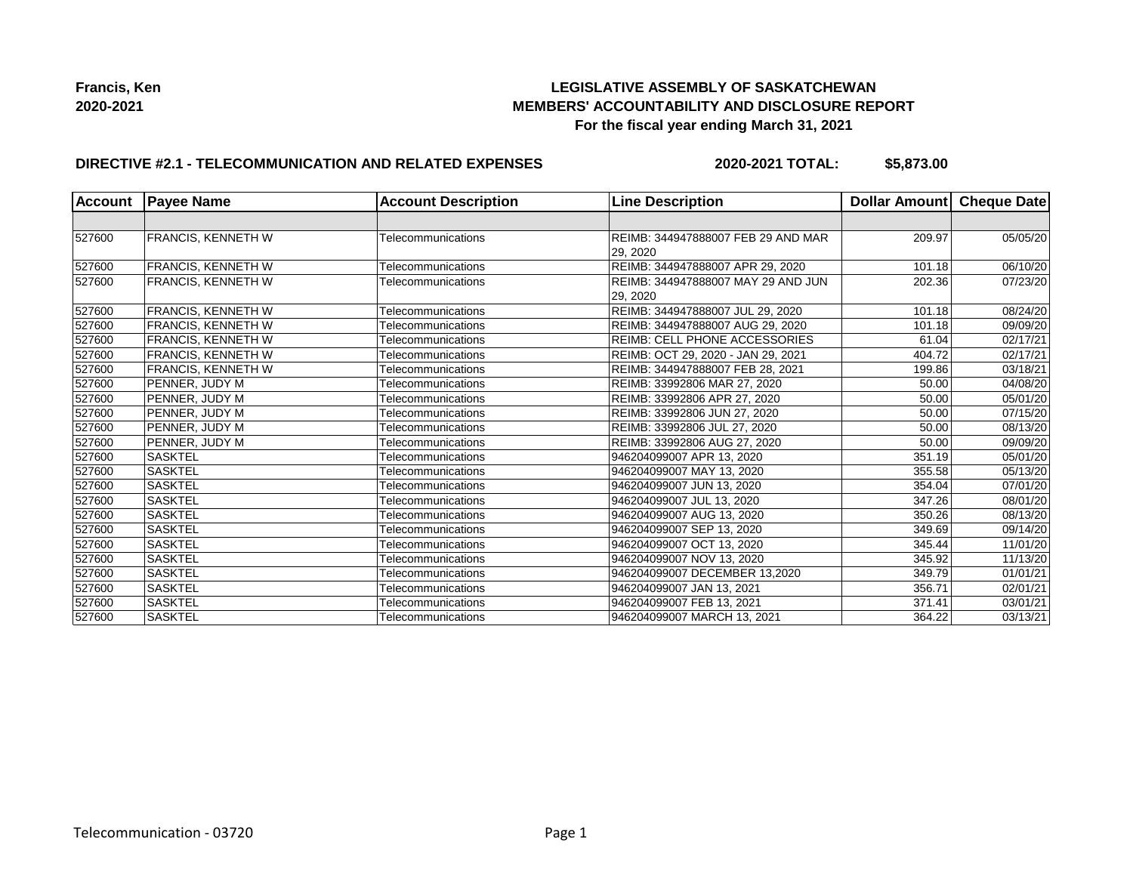## **LEGISLATIVE ASSEMBLY OF SASKATCHEWAN MEMBERS' ACCOUNTABILITY AND DISCLOSURE REPORT For the fiscal year ending March 31, 2021**

### **DIRECTIVE #2.1 - TELECOMMUNICATION AND RELATED EXPENSES**

**2020-2021 TOTAL: \$5,873.00**

| <b>Account</b> | <b>Payee Name</b>         | <b>Account Description</b> | <b>Line Description</b>                               | Dollar Amount Cheque Date |                       |
|----------------|---------------------------|----------------------------|-------------------------------------------------------|---------------------------|-----------------------|
|                |                           |                            |                                                       |                           |                       |
| 527600         | <b>FRANCIS, KENNETH W</b> | Telecommunications         | <b>REIMB: 344947888007 FEB 29 AND MAR</b><br>29, 2020 | 209.97                    | 05/05/20              |
| 527600         | <b>FRANCIS, KENNETH W</b> | Telecommunications         | REIMB: 344947888007 APR 29, 2020                      | 101.18                    | 06/10/20              |
| 527600         | <b>FRANCIS, KENNETH W</b> | Telecommunications         | <b>REIMB: 344947888007 MAY 29 AND JUN</b><br>29, 2020 | 202.36                    | 07/23/20              |
| 527600         | <b>FRANCIS, KENNETH W</b> | Telecommunications         | REIMB: 344947888007 JUL 29, 2020                      | 101.18                    | 08/24/20              |
| 527600         | <b>FRANCIS, KENNETH W</b> | Telecommunications         | REIMB: 344947888007 AUG 29, 2020                      | 101.18                    | 09/09/20              |
| 527600         | <b>FRANCIS, KENNETH W</b> | Telecommunications         | <b>REIMB: CELL PHONE ACCESSORIES</b>                  | 61.04                     | 02/17/21              |
| 527600         | FRANCIS, KENNETH W        | Telecommunications         | REIMB: OCT 29, 2020 - JAN 29, 2021                    | 404.72                    | 02/17/21              |
| 527600         | <b>FRANCIS, KENNETH W</b> | Telecommunications         | REIMB: 344947888007 FEB 28, 2021                      | 199.86                    | 03/18/21              |
| 527600         | PENNER, JUDY M            | Telecommunications         | REIMB: 33992806 MAR 27, 2020                          | 50.00                     | 04/08/20              |
| 527600         | PENNER, JUDY M            | Telecommunications         | REIMB: 33992806 APR 27, 2020                          | 50.00                     | 05/01/20              |
| 527600         | PENNER, JUDY M            | Telecommunications         | REIMB: 33992806 JUN 27, 2020                          | 50.00                     | 07/15/20              |
| 527600         | PENNER, JUDY M            | Telecommunications         | REIMB: 33992806 JUL 27, 2020                          | 50.00                     | 08/13/20              |
| 527600         | PENNER, JUDY M            | Telecommunications         | REIMB: 33992806 AUG 27, 2020                          | 50.00                     | 09/09/20              |
| 527600         | <b>SASKTEL</b>            | Telecommunications         | 946204099007 APR 13, 2020                             | 351.19                    | $\overline{0}5/01/20$ |
| 527600         | <b>SASKTEL</b>            | Telecommunications         | 946204099007 MAY 13, 2020                             | 355.58                    | 05/13/20              |
| 527600         | <b>SASKTEL</b>            | Telecommunications         | 946204099007 JUN 13, 2020                             | 354.04                    | 07/01/20              |
| 527600         | <b>SASKTEL</b>            | Telecommunications         | 946204099007 JUL 13, 2020                             | 347.26                    | 08/01/20              |
| 527600         | <b>SASKTEL</b>            | Telecommunications         | 946204099007 AUG 13, 2020                             | 350.26                    | 08/13/20              |
| 527600         | <b>SASKTEL</b>            | Telecommunications         | 946204099007 SEP 13, 2020                             | 349.69                    | 09/14/20              |
| 527600         | <b>SASKTEL</b>            | Telecommunications         | 946204099007 OCT 13, 2020                             | 345.44                    | 11/01/20              |
| 527600         | <b>SASKTEL</b>            | Telecommunications         | 946204099007 NOV 13, 2020                             | 345.92                    | 11/13/20              |
| 527600         | <b>SASKTEL</b>            | Telecommunications         | 946204099007 DECEMBER 13.2020                         | 349.79                    | 01/01/21              |
| 527600         | <b>SASKTEL</b>            | Telecommunications         | 946204099007 JAN 13, 2021                             | 356.71                    | 02/01/21              |
| 527600         | <b>SASKTEL</b>            | Telecommunications         | 946204099007 FEB 13, 2021                             | 371.41                    | 03/01/21              |
| 527600         | <b>SASKTEL</b>            | Telecommunications         | 946204099007 MARCH 13, 2021                           | 364.22                    | 03/13/21              |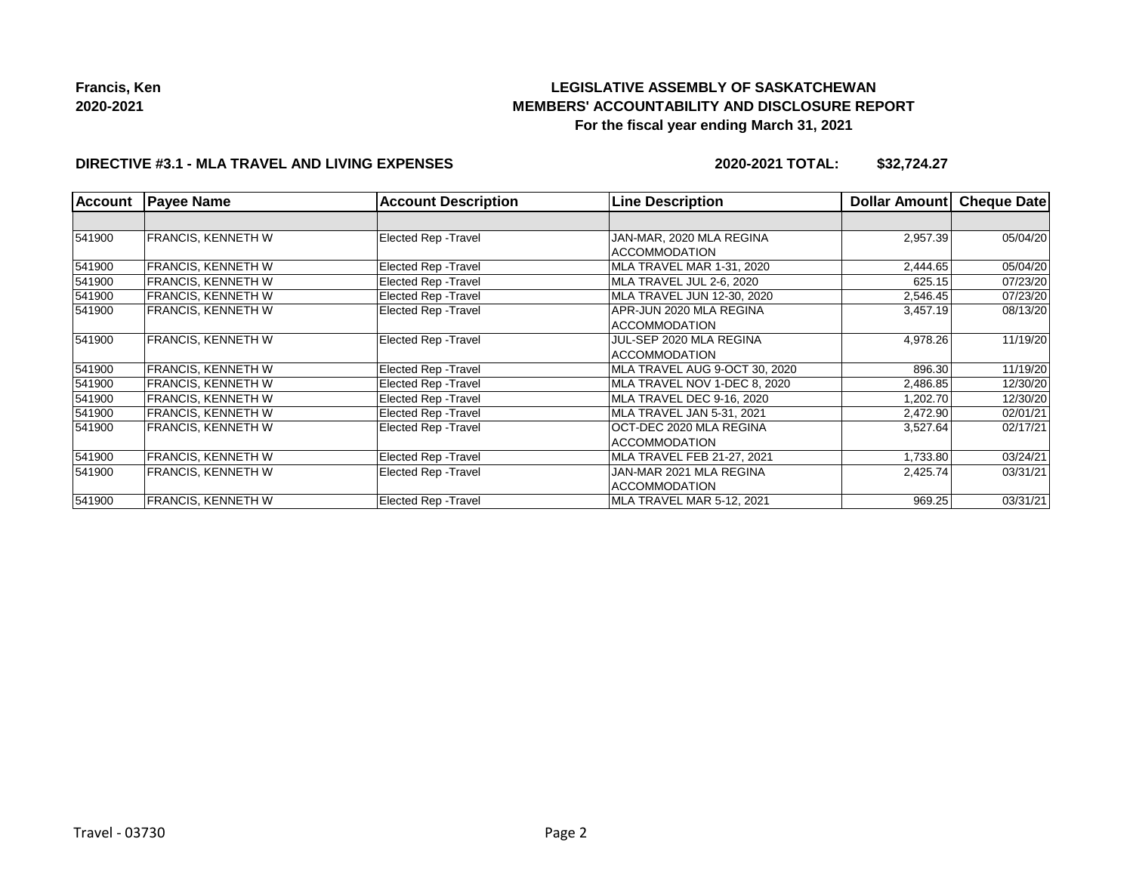# **LEGISLATIVE ASSEMBLY OF SASKATCHEWAN MEMBERS' ACCOUNTABILITY AND DISCLOSURE REPORT For the fiscal year ending March 31, 2021**

### **DIRECTIVE #3.1 - MLA TRAVEL AND LIVING EXPENSES**

**2020-2021 TOTAL: \$32,724.27**

| <b>Account</b> | <b>Payee Name</b>         | <b>Account Description</b>  | <b>Line Description</b>                          | Dollar Amount | <b>Cheque Date</b> |
|----------------|---------------------------|-----------------------------|--------------------------------------------------|---------------|--------------------|
|                |                           |                             |                                                  |               |                    |
| 541900         | <b>FRANCIS, KENNETH W</b> | Elected Rep - Travel        | JAN-MAR, 2020 MLA REGINA<br><b>ACCOMMODATION</b> | 2,957.39      | 05/04/20           |
| 541900         | <b>FRANCIS, KENNETH W</b> | Elected Rep - Travel        | MLA TRAVEL MAR 1-31, 2020                        | 2,444.65      | 05/04/20           |
| 541900         | FRANCIS, KENNETH W        | Elected Rep - Travel        | MLA TRAVEL JUL 2-6, 2020                         | 625.15        | 07/23/20           |
| 541900         | <b>FRANCIS, KENNETH W</b> | Elected Rep - Travel        | MLA TRAVEL JUN 12-30, 2020                       | 2,546.45      | 07/23/20           |
| 541900         | FRANCIS, KENNETH W        | Elected Rep - Travel        | APR-JUN 2020 MLA REGINA<br><b>ACCOMMODATION</b>  | 3,457.19      | 08/13/20           |
| 541900         | <b>FRANCIS, KENNETH W</b> | Elected Rep - Travel        | JUL-SEP 2020 MLA REGINA<br><b>ACCOMMODATION</b>  | 4,978.26      | 11/19/20           |
| 541900         | <b>FRANCIS, KENNETH W</b> | Elected Rep - Travel        | MLA TRAVEL AUG 9-OCT 30, 2020                    | 896.30        | 11/19/20           |
| 541900         | FRANCIS. KENNETH W        | Elected Rep - Travel        | MLA TRAVEL NOV 1-DEC 8, 2020                     | 2,486.85      | 12/30/20           |
| 541900         | <b>FRANCIS, KENNETH W</b> | Elected Rep - Travel        | MLA TRAVEL DEC 9-16, 2020                        | 1,202.70      | 12/30/20           |
| 541900         | <b>FRANCIS, KENNETH W</b> | <b>Elected Rep - Travel</b> | MLA TRAVEL JAN 5-31, 2021                        | 2,472.90      | 02/01/21           |
| 541900         | <b>FRANCIS, KENNETH W</b> | <b>Elected Rep - Travel</b> | OCT-DEC 2020 MLA REGINA<br><b>ACCOMMODATION</b>  | 3,527.64      | 02/17/21           |
| 541900         | <b>FRANCIS, KENNETH W</b> | Elected Rep - Travel        | MLA TRAVEL FEB 21-27, 2021                       | 1,733.80      | 03/24/21           |
| 541900         | <b>FRANCIS, KENNETH W</b> | <b>Elected Rep - Travel</b> | JAN-MAR 2021 MLA REGINA<br><b>ACCOMMODATION</b>  | 2,425.74      | 03/31/21           |
| 541900         | <b>FRANCIS, KENNETH W</b> | <b>Elected Rep - Travel</b> | MLA TRAVEL MAR 5-12, 2021                        | 969.25        | 03/31/21           |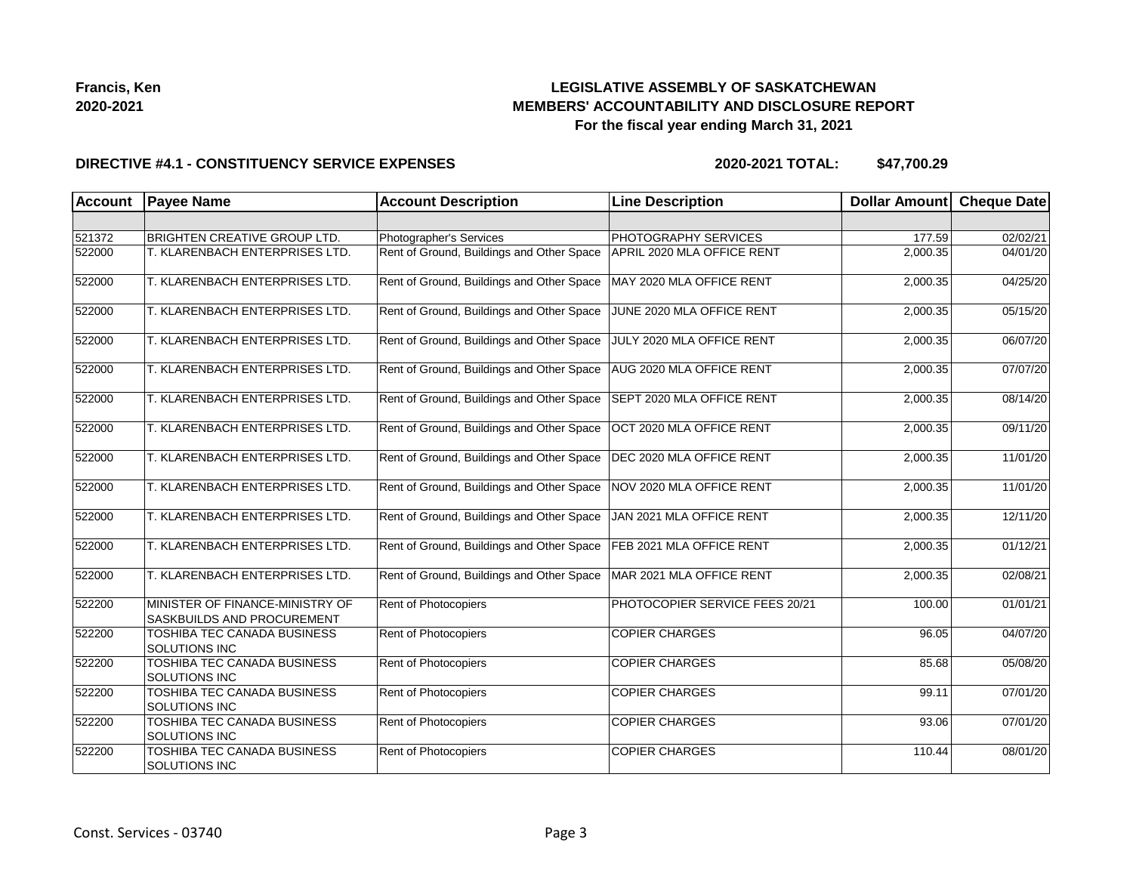

## **LEGISLATIVE ASSEMBLY OF SASKATCHEWAN MEMBERS' ACCOUNTABILITY AND DISCLOSURE REPORT For the fiscal year ending March 31, 2021**

#### **DIRECTIVE #4.1 - CONSTITUENCY SERVICE EXPENSES**

| <b>Account</b> | <b>Payee Name</b>                                             | <b>Account Description</b>                | <b>Line Description</b>        | <b>Dollar Amount</b> | <b>Cheque Date</b> |
|----------------|---------------------------------------------------------------|-------------------------------------------|--------------------------------|----------------------|--------------------|
|                |                                                               |                                           |                                |                      |                    |
| 521372         | <b>BRIGHTEN CREATIVE GROUP LTD.</b>                           | Photographer's Services                   | PHOTOGRAPHY SERVICES           | 177.59               | 02/02/21           |
| 522000         | T. KLARENBACH ENTERPRISES LTD.                                | Rent of Ground, Buildings and Other Space | APRIL 2020 MLA OFFICE RENT     | 2,000.35             | 04/01/20           |
| 522000         | T. KLARENBACH ENTERPRISES LTD.                                | Rent of Ground, Buildings and Other Space | MAY 2020 MLA OFFICE RENT       | 2,000.35             | 04/25/20           |
| 522000         | T. KLARENBACH ENTERPRISES LTD.                                | Rent of Ground, Buildings and Other Space | JUNE 2020 MLA OFFICE RENT      | 2,000.35             | 05/15/20           |
| 522000         | T. KLARENBACH ENTERPRISES LTD.                                | Rent of Ground, Buildings and Other Space | JULY 2020 MLA OFFICE RENT      | 2,000.35             | 06/07/20           |
| 522000         | T. KLARENBACH ENTERPRISES LTD.                                | Rent of Ground, Buildings and Other Space | AUG 2020 MLA OFFICE RENT       | 2,000.35             | 07/07/20           |
| 522000         | T. KLARENBACH ENTERPRISES LTD.                                | Rent of Ground, Buildings and Other Space | SEPT 2020 MLA OFFICE RENT      | 2,000.35             | 08/14/20           |
| 522000         | T. KLARENBACH ENTERPRISES LTD.                                | Rent of Ground, Buildings and Other Space | OCT 2020 MLA OFFICE RENT       | 2,000.35             | 09/11/20           |
| 522000         | T. KLARENBACH ENTERPRISES LTD.                                | Rent of Ground, Buildings and Other Space | DEC 2020 MLA OFFICE RENT       | 2,000.35             | 11/01/20           |
| 522000         | T. KLARENBACH ENTERPRISES LTD.                                | Rent of Ground, Buildings and Other Space | NOV 2020 MLA OFFICE RENT       | 2,000.35             | 11/01/20           |
| 522000         | T. KLARENBACH ENTERPRISES LTD.                                | Rent of Ground, Buildings and Other Space | JAN 2021 MLA OFFICE RENT       | 2,000.35             | 12/11/20           |
| 522000         | T. KLARENBACH ENTERPRISES LTD.                                | Rent of Ground, Buildings and Other Space | FEB 2021 MLA OFFICE RENT       | 2,000.35             | 01/12/21           |
| 522000         | T. KLARENBACH ENTERPRISES LTD.                                | Rent of Ground, Buildings and Other Space | MAR 2021 MLA OFFICE RENT       | 2,000.35             | 02/08/21           |
| 522200         | MINISTER OF FINANCE-MINISTRY OF<br>SASKBUILDS AND PROCUREMENT | Rent of Photocopiers                      | PHOTOCOPIER SERVICE FEES 20/21 | 100.00               | 01/01/21           |
| 522200         | TOSHIBA TEC CANADA BUSINESS<br>SOLUTIONS INC                  | Rent of Photocopiers                      | <b>COPIER CHARGES</b>          | 96.05                | 04/07/20           |
| 522200         | <b>TOSHIBA TEC CANADA BUSINESS</b><br><b>SOLUTIONS INC</b>    | Rent of Photocopiers                      | <b>COPIER CHARGES</b>          | 85.68                | 05/08/20           |
| 522200         | TOSHIBA TEC CANADA BUSINESS<br>SOLUTIONS INC                  | Rent of Photocopiers                      | <b>COPIER CHARGES</b>          | 99.11                | 07/01/20           |
| 522200         | TOSHIBA TEC CANADA BUSINESS<br><b>SOLUTIONS INC</b>           | Rent of Photocopiers                      | <b>COPIER CHARGES</b>          | 93.06                | 07/01/20           |
| 522200         | TOSHIBA TEC CANADA BUSINESS<br>SOLUTIONS INC                  | Rent of Photocopiers                      | <b>COPIER CHARGES</b>          | 110.44               | 08/01/20           |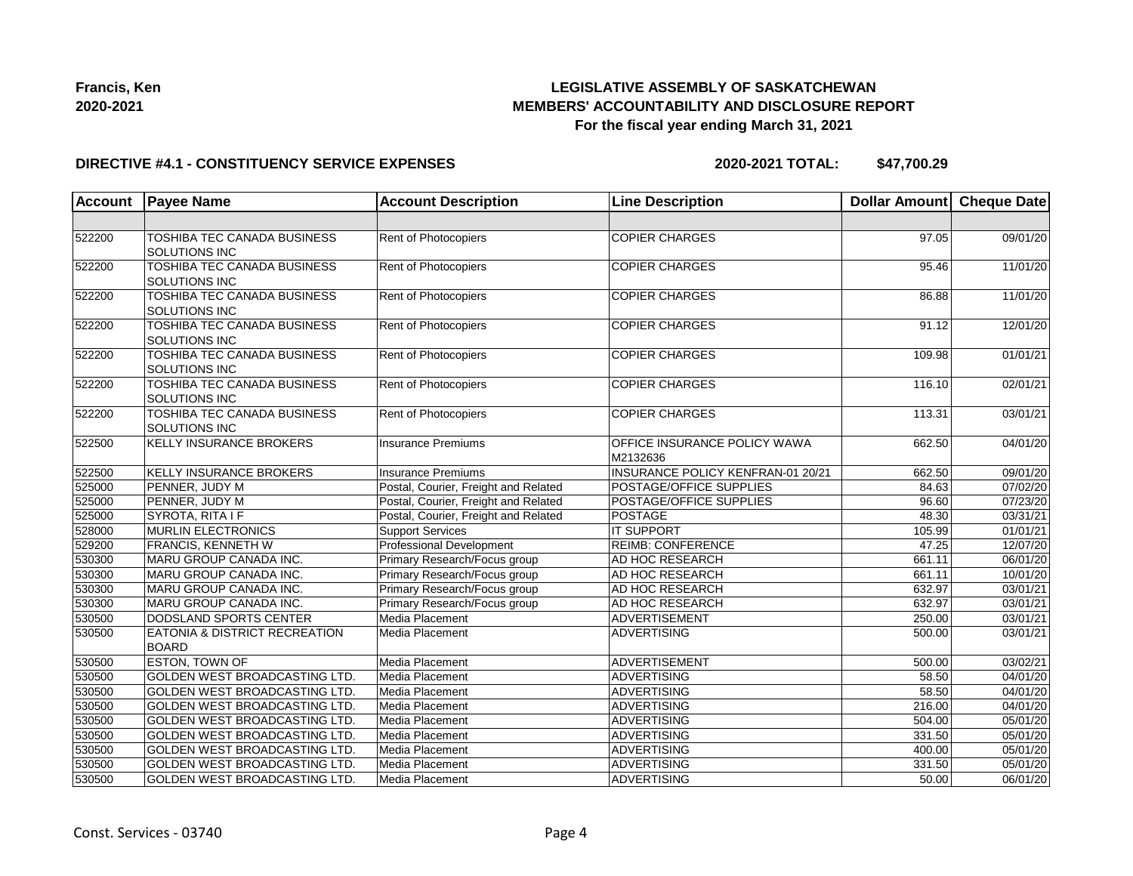

## **LEGISLATIVE ASSEMBLY OF SASKATCHEWAN MEMBERS' ACCOUNTABILITY AND DISCLOSURE REPORT For the fiscal year ending March 31, 2021**

### **DIRECTIVE #4.1 - CONSTITUENCY SERVICE EXPENSES**

| <b>Account</b> | <b>Payee Name</b>                                          | <b>Account Description</b>           | <b>Line Description</b>                  | Dollar Amount   Cheque Date |                       |
|----------------|------------------------------------------------------------|--------------------------------------|------------------------------------------|-----------------------------|-----------------------|
|                |                                                            |                                      |                                          |                             |                       |
| 522200         | TOSHIBA TEC CANADA BUSINESS<br><b>SOLUTIONS INC</b>        | Rent of Photocopiers                 | <b>COPIER CHARGES</b>                    | 97.05                       | 09/01/20              |
| 522200         | <b>TOSHIBA TEC CANADA BUSINESS</b><br><b>SOLUTIONS INC</b> | Rent of Photocopiers                 | <b>COPIER CHARGES</b>                    | 95.46                       | 11/01/20              |
| 522200         | <b>TOSHIBA TEC CANADA BUSINESS</b><br>SOLUTIONS INC        | Rent of Photocopiers                 | <b>COPIER CHARGES</b>                    | 86.88                       | 11/01/20              |
| 522200         | TOSHIBA TEC CANADA BUSINESS<br>SOLUTIONS INC               | Rent of Photocopiers                 | <b>COPIER CHARGES</b>                    | 91.12                       | 12/01/20              |
| 522200         | TOSHIBA TEC CANADA BUSINESS<br>SOLUTIONS INC               | Rent of Photocopiers                 | <b>COPIER CHARGES</b>                    | 109.98                      | 01/01/21              |
| 522200         | TOSHIBA TEC CANADA BUSINESS<br>SOLUTIONS INC               | Rent of Photocopiers                 | <b>COPIER CHARGES</b>                    | 116.10                      | 02/01/21              |
| 522200         | <b>TOSHIBA TEC CANADA BUSINESS</b><br>SOLUTIONS INC        | Rent of Photocopiers                 | <b>COPIER CHARGES</b>                    | 113.31                      | 03/01/21              |
| 522500         | <b>KELLY INSURANCE BROKERS</b>                             | Insurance Premiums                   | OFFICE INSURANCE POLICY WAWA<br>M2132636 | 662.50                      | 04/01/20              |
| 522500         | <b>KELLY INSURANCE BROKERS</b>                             | Insurance Premiums                   | INSURANCE POLICY KENFRAN-01 20/21        | 662.50                      | 09/01/20              |
| 525000         | PENNER, JUDY M                                             | Postal, Courier, Freight and Related | POSTAGE/OFFICE SUPPLIES                  | 84.63                       | 07/02/20              |
| 525000         | PENNER, JUDY M                                             | Postal, Courier, Freight and Related | POSTAGE/OFFICE SUPPLIES                  | 96.60                       | 07/23/20              |
| 525000         | SYROTA, RITA I F                                           | Postal, Courier, Freight and Related | POSTAGE                                  | 48.30                       | 03/31/21              |
| 528000         | <b>MURLIN ELECTRONICS</b>                                  | <b>Support Services</b>              | <b>IT SUPPORT</b>                        | 105.99                      | 01/01/21              |
| 529200         | <b>FRANCIS, KENNETH W</b>                                  | Professional Development             | <b>REIMB: CONFERENCE</b>                 | 47.25                       | 12/07/20              |
| 530300         | MARU GROUP CANADA INC.                                     | Primary Research/Focus group         | AD HOC RESEARCH                          | 661.11                      | 06/01/20              |
| 530300         | MARU GROUP CANADA INC.                                     | Primary Research/Focus group         | AD HOC RESEARCH                          | 661.11                      | 10/01/20              |
| 530300         | MARU GROUP CANADA INC.                                     | Primary Research/Focus group         | AD HOC RESEARCH                          | 632.97                      | 03/01/21              |
| 530300         | MARU GROUP CANADA INC.                                     | Primary Research/Focus group         | AD HOC RESEARCH                          | 632.97                      | 03/01/21              |
| 530500         | DODSLAND SPORTS CENTER                                     | Media Placement                      | ADVERTISEMENT                            | 250.00                      | 03/01/21              |
| 530500         | EATONIA & DISTRICT RECREATION<br><b>BOARD</b>              | Media Placement                      | <b>ADVERTISING</b>                       | 500.00                      | 03/01/21              |
| 530500         | <b>ESTON, TOWN OF</b>                                      | Media Placement                      | ADVERTISEMENT                            | 500.00                      | 03/02/21              |
| 530500         | GOLDEN WEST BROADCASTING LTD.                              | Media Placement                      | <b>ADVERTISING</b>                       | 58.50                       | 04/01/20              |
| 530500         | GOLDEN WEST BROADCASTING LTD.                              | Media Placement                      | ADVERTISING                              | 58.50                       | 04/01/20              |
| 530500         | <b>GOLDEN WEST BROADCASTING LTD.</b>                       | Media Placement                      | ADVERTISING                              | 216.00                      | 04/01/20              |
| 530500         | GOLDEN WEST BROADCASTING LTD.                              | Media Placement                      | <b>ADVERTISING</b>                       | 504.00                      | 05/01/20              |
| 530500         | GOLDEN WEST BROADCASTING LTD.                              | Media Placement                      | <b>ADVERTISING</b>                       | 331.50                      | $\overline{05/0}1/20$ |
| 530500         | GOLDEN WEST BROADCASTING LTD.                              | Media Placement                      | <b>ADVERTISING</b>                       | 400.00                      | 05/01/20              |
| 530500         | GOLDEN WEST BROADCASTING LTD.                              | Media Placement                      | <b>ADVERTISING</b>                       | 331.50                      | 05/01/20              |
| 530500         | GOLDEN WEST BROADCASTING LTD.                              | Media Placement                      | ADVERTISING                              | 50.00                       | 06/01/20              |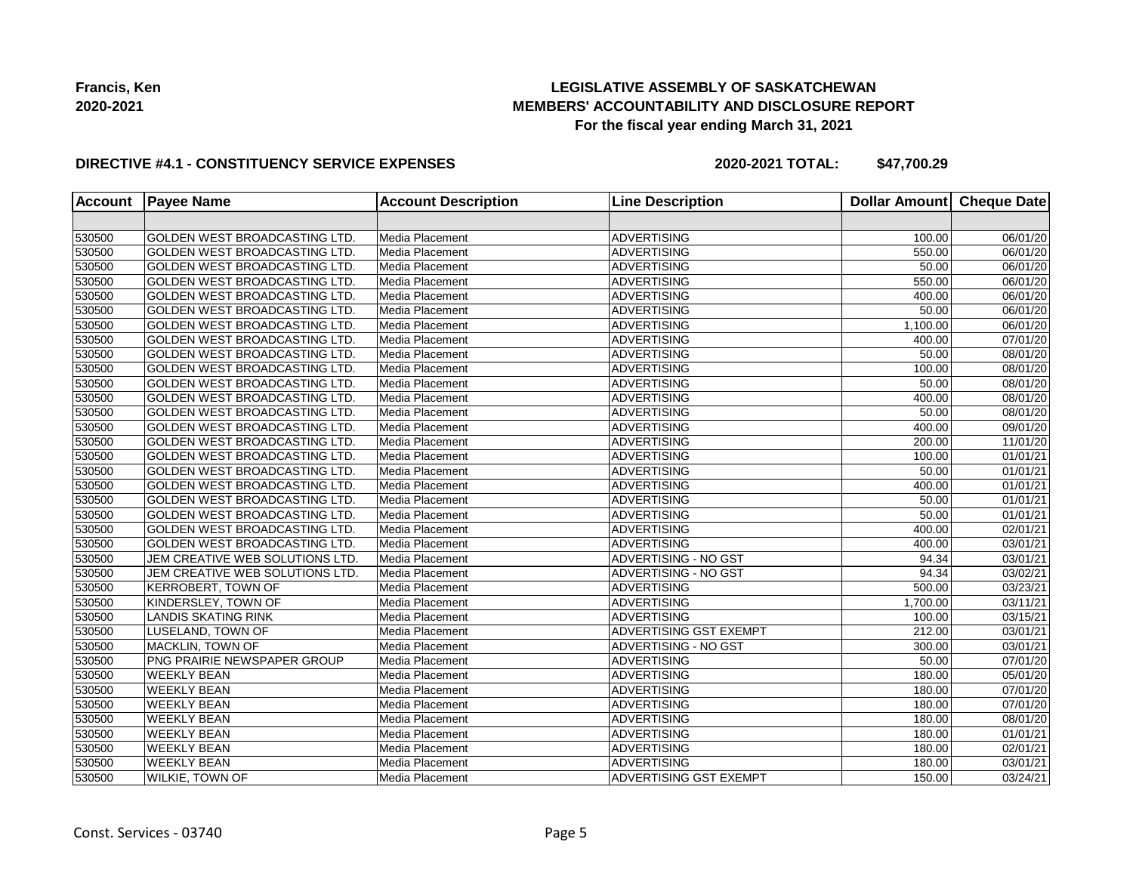## **LEGISLATIVE ASSEMBLY OF SASKATCHEWAN MEMBERS' ACCOUNTABILITY AND DISCLOSURE REPORT For the fiscal year ending March 31, 2021**

### **DIRECTIVE #4.1 - CONSTITUENCY SERVICE EXPENSES**

| <b>Account</b> | <b>Payee Name</b>                    | <b>Account Description</b> | <b>Line Description</b>       | <b>Dollar Amount</b> | <b>Cheque Date</b>    |
|----------------|--------------------------------------|----------------------------|-------------------------------|----------------------|-----------------------|
|                |                                      |                            |                               |                      |                       |
| 530500         | <b>GOLDEN WEST BROADCASTING LTD.</b> | Media Placement            | <b>ADVERTISING</b>            | 100.00               | 06/01/20              |
| 530500         | GOLDEN WEST BROADCASTING LTD.        | Media Placement            | <b>ADVERTISING</b>            | 550.00               | 06/01/20              |
| 530500         | GOLDEN WEST BROADCASTING LTD.        | Media Placement            | <b>ADVERTISING</b>            | 50.00                | 06/01/20              |
| 530500         | GOLDEN WEST BROADCASTING LTD.        | Media Placement            | ADVERTISING                   | 550.00               | 06/01/20              |
| 530500         | GOLDEN WEST BROADCASTING LTD.        | Media Placement            | <b>ADVERTISING</b>            | 400.00               | 06/01/20              |
| 530500         | GOLDEN WEST BROADCASTING LTD.        | Media Placement            | <b>ADVERTISING</b>            | 50.00                | 06/01/20              |
| 530500         | <b>GOLDEN WEST BROADCASTING LTD.</b> | Media Placement            | <b>ADVERTISING</b>            | 1,100.00             | 06/01/20              |
| 530500         | <b>GOLDEN WEST BROADCASTING LTD.</b> | Media Placement            | <b>ADVERTISING</b>            | 400.00               | 07/01/20              |
| 530500         | <b>GOLDEN WEST BROADCASTING LTD.</b> | Media Placement            | <b>ADVERTISING</b>            | 50.00                | 08/01/20              |
| 530500         | GOLDEN WEST BROADCASTING LTD.        | Media Placement            | ADVERTISING                   | 100.00               | 08/01/20              |
| 530500         | <b>GOLDEN WEST BROADCASTING LTD.</b> | Media Placement            | <b>ADVERTISING</b>            | 50.00                | 08/01/20              |
| 530500         | <b>GOLDEN WEST BROADCASTING LTD.</b> | Media Placement            | <b>ADVERTISING</b>            | 400.00               | 08/01/20              |
| 530500         | <b>GOLDEN WEST BROADCASTING LTD.</b> | Media Placement            | <b>ADVERTISING</b>            | 50.00                | 08/01/20              |
| 530500         | GOLDEN WEST BROADCASTING LTD.        | Media Placement            | <b>ADVERTISING</b>            | 400.00               | 09/01/20              |
| 530500         | <b>GOLDEN WEST BROADCASTING LTD.</b> | Media Placement            | <b>ADVERTISING</b>            | 200.00               | 11/01/20              |
| 530500         | GOLDEN WEST BROADCASTING LTD.        | Media Placement            | ADVERTISING                   | 100.00               | 01/01/21              |
| 530500         | GOLDEN WEST BROADCASTING LTD.        | Media Placement            | <b>ADVERTISING</b>            | 50.00                | 01/01/21              |
| 530500         | GOLDEN WEST BROADCASTING LTD.        | Media Placement            | <b>ADVERTISING</b>            | 400.00               | $\overline{0}1/01/21$ |
| 530500         | GOLDEN WEST BROADCASTING LTD.        | Media Placement            | <b>ADVERTISING</b>            | 50.00                | 01/01/21              |
| 530500         | GOLDEN WEST BROADCASTING LTD.        | Media Placement            | <b>ADVERTISING</b>            | 50.00                | 01/01/21              |
| 530500         | GOLDEN WEST BROADCASTING LTD.        | Media Placement            | <b>ADVERTISING</b>            | 400.00               | 02/01/21              |
| 530500         | <b>GOLDEN WEST BROADCASTING LTD.</b> | Media Placement            | <b>ADVERTISING</b>            | 400.00               | 03/01/21              |
| 530500         | JEM CREATIVE WEB SOLUTIONS LTD.      | Media Placement            | ADVERTISING - NO GST          | 94.34                | 03/01/21              |
| 530500         | JEM CREATIVE WEB SOLUTIONS LTD.      | Media Placement            | ADVERTISING - NO GST          | 94.34                | 03/02/21              |
| 530500         | <b>KERROBERT, TOWN OF</b>            | Media Placement            | <b>ADVERTISING</b>            | 500.00               | 03/23/21              |
| 530500         | KINDERSLEY, TOWN OF                  | Media Placement            | <b>ADVERTISING</b>            | 1,700.00             | 03/11/21              |
| 530500         | <b>LANDIS SKATING RINK</b>           | Media Placement            | <b>ADVERTISING</b>            | 100.00               | 03/15/21              |
| 530500         | LUSELAND, TOWN OF                    | Media Placement            | <b>ADVERTISING GST EXEMPT</b> | 212.00               | 03/01/21              |
| 530500         | MACKLIN, TOWN OF                     | Media Placement            | <b>ADVERTISING - NO GST</b>   | 300.00               | 03/01/21              |
| 530500         | PNG PRAIRIE NEWSPAPER GROUP          | Media Placement            | <b>ADVERTISING</b>            | 50.00                | 07/01/20              |
| 530500         | <b>WEEKLY BEAN</b>                   | Media Placement            | <b>ADVERTISING</b>            | 180.00               | 05/01/20              |
| 530500         | <b>WEEKLY BEAN</b>                   | Media Placement            | <b>ADVERTISING</b>            | 180.00               | 07/01/20              |
| 530500         | <b>WEEKLY BEAN</b>                   | Media Placement            | <b>ADVERTISING</b>            | 180.00               | 07/01/20              |
| 530500         | <b>WEEKLY BEAN</b>                   | Media Placement            | <b>ADVERTISING</b>            | 180.00               | 08/01/20              |
| 530500         | <b>WEEKLY BEAN</b>                   | Media Placement            | <b>ADVERTISING</b>            | 180.00               | 01/01/21              |
| 530500         | <b>WEEKLY BEAN</b>                   | Media Placement            | <b>ADVERTISING</b>            | 180.00               | 02/01/21              |
| 530500         | <b>WEEKLY BEAN</b>                   | Media Placement            | <b>ADVERTISING</b>            | 180.00               | 03/01/21              |
| 530500         | <b>WILKIE, TOWN OF</b>               | Media Placement            | <b>ADVERTISING GST EXEMPT</b> | 150.00               | 03/24/21              |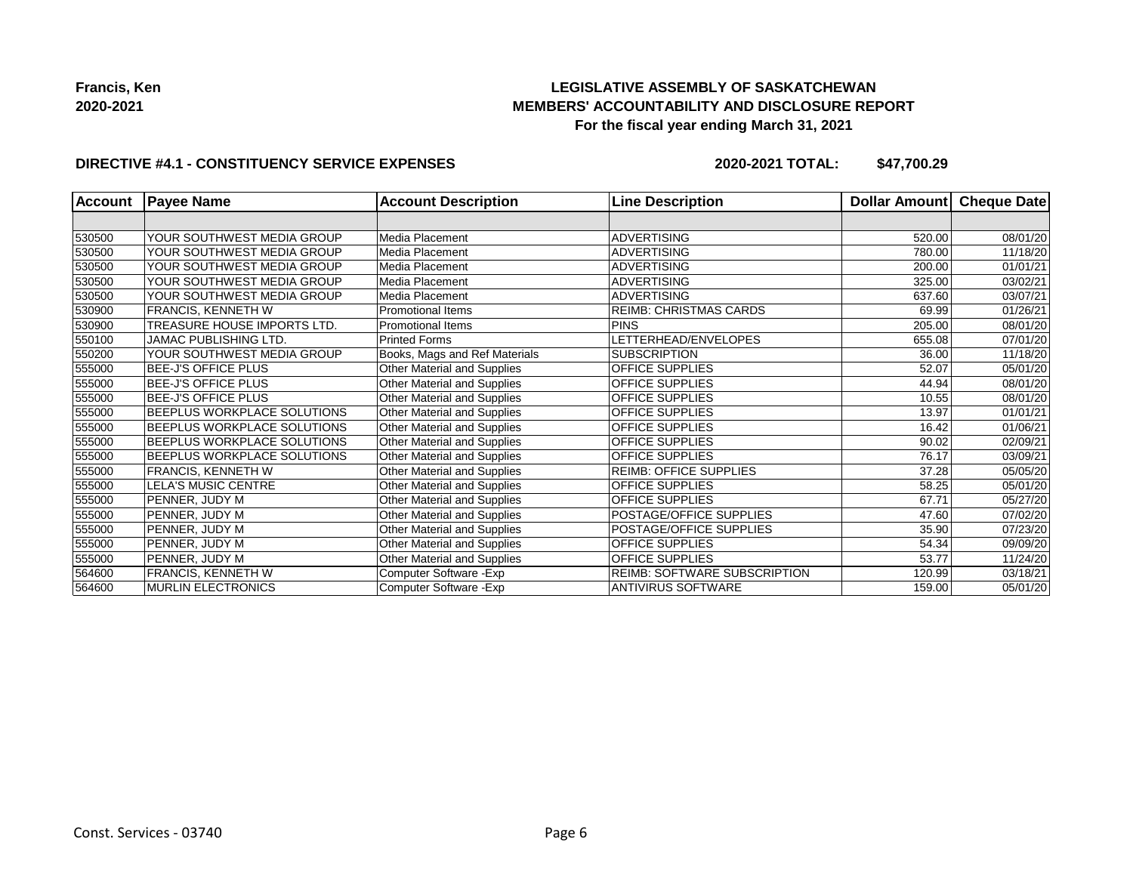## **LEGISLATIVE ASSEMBLY OF SASKATCHEWAN MEMBERS' ACCOUNTABILITY AND DISCLOSURE REPORT For the fiscal year ending March 31, 2021**

### **DIRECTIVE #4.1 - CONSTITUENCY SERVICE EXPENSES**

| <b>Account</b> | <b>Payee Name</b>                  | <b>Account Description</b>    | <b>Line Description</b>             | <b>Dollar Amountl</b> | Cheque Date |
|----------------|------------------------------------|-------------------------------|-------------------------------------|-----------------------|-------------|
|                |                                    |                               |                                     |                       |             |
| 530500         | YOUR SOUTHWEST MEDIA GROUP         | Media Placement               | <b>ADVERTISING</b>                  | 520.00                | 08/01/20    |
| 530500         | YOUR SOUTHWEST MEDIA GROUP         | Media Placement               | <b>ADVERTISING</b>                  | 780.00                | 11/18/20    |
| 530500         | YOUR SOUTHWEST MEDIA GROUP         | Media Placement               | <b>ADVERTISING</b>                  | 200.00                | 01/01/21    |
| 530500         | YOUR SOUTHWEST MEDIA GROUP         | Media Placement               | <b>ADVERTISING</b>                  | 325.00                | 03/02/21    |
| 530500         | YOUR SOUTHWEST MEDIA GROUP         | Media Placement               | <b>ADVERTISING</b>                  | 637.60                | 03/07/21    |
| 530900         | <b>FRANCIS, KENNETH W</b>          | <b>Promotional Items</b>      | <b>REIMB: CHRISTMAS CARDS</b>       | 69.99                 | 01/26/21    |
| 530900         | TREASURE HOUSE IMPORTS LTD.        | <b>Promotional Items</b>      | <b>PINS</b>                         | 205.00                | 08/01/20    |
| 550100         | JAMAC PUBLISHING LTD.              | <b>Printed Forms</b>          | LETTERHEAD/ENVELOPES                | 655.08                | 07/01/20    |
| 550200         | YOUR SOUTHWEST MEDIA GROUP         | Books, Mags and Ref Materials | <b>SUBSCRIPTION</b>                 | 36.00                 | 11/18/20    |
| 555000         | <b>BEE-J'S OFFICE PLUS</b>         | Other Material and Supplies   | <b>OFFICE SUPPLIES</b>              | 52.07                 | 05/01/20    |
| 555000         | <b>BEE-J'S OFFICE PLUS</b>         | Other Material and Supplies   | <b>OFFICE SUPPLIES</b>              | 44.94                 | 08/01/20    |
| 555000         | <b>BEE-J'S OFFICE PLUS</b>         | Other Material and Supplies   | <b>OFFICE SUPPLIES</b>              | 10.55                 | 08/01/20    |
| 555000         | <b>BEEPLUS WORKPLACE SOLUTIONS</b> | Other Material and Supplies   | OFFICE SUPPLIES                     | 13.97                 | 01/01/21    |
| 555000         | <b>BEEPLUS WORKPLACE SOLUTIONS</b> | Other Material and Supplies   | OFFICE SUPPLIES                     | 16.42                 | 01/06/21    |
| 555000         | <b>BEEPLUS WORKPLACE SOLUTIONS</b> | Other Material and Supplies   | <b>OFFICE SUPPLIES</b>              | 90.02                 | 02/09/21    |
| 555000         | <b>BEEPLUS WORKPLACE SOLUTIONS</b> | Other Material and Supplies   | <b>OFFICE SUPPLIES</b>              | 76.17                 | 03/09/21    |
| 555000         | <b>FRANCIS, KENNETH W</b>          | Other Material and Supplies   | <b>REIMB: OFFICE SUPPLIES</b>       | 37.28                 | 05/05/20    |
| 555000         | LELA'S MUSIC CENTRE                | Other Material and Supplies   | OFFICE SUPPLIES                     | 58.25                 | 05/01/20    |
| 555000         | PENNER, JUDY M                     | Other Material and Supplies   | <b>OFFICE SUPPLIES</b>              | 67.71                 | 05/27/20    |
| 555000         | PENNER, JUDY M                     | Other Material and Supplies   | POSTAGE/OFFICE SUPPLIES             | 47.60                 | 07/02/20    |
| 555000         | PENNER, JUDY M                     | Other Material and Supplies   | POSTAGE/OFFICE SUPPLIES             | 35.90                 | 07/23/20    |
| 555000         | PENNER, JUDY M                     | Other Material and Supplies   | <b>OFFICE SUPPLIES</b>              | 54.34                 | 09/09/20    |
| 555000         | PENNER, JUDY M                     | Other Material and Supplies   | OFFICE SUPPLIES                     | 53.77                 | 11/24/20    |
| 564600         | FRANCIS, KENNETH W                 | Computer Software - Exp       | <b>REIMB: SOFTWARE SUBSCRIPTION</b> | 120.99                | 03/18/21    |
| 564600         | <b>MURLIN ELECTRONICS</b>          | Computer Software - Exp       | <b>ANTIVIRUS SOFTWARE</b>           | 159.00                | 05/01/20    |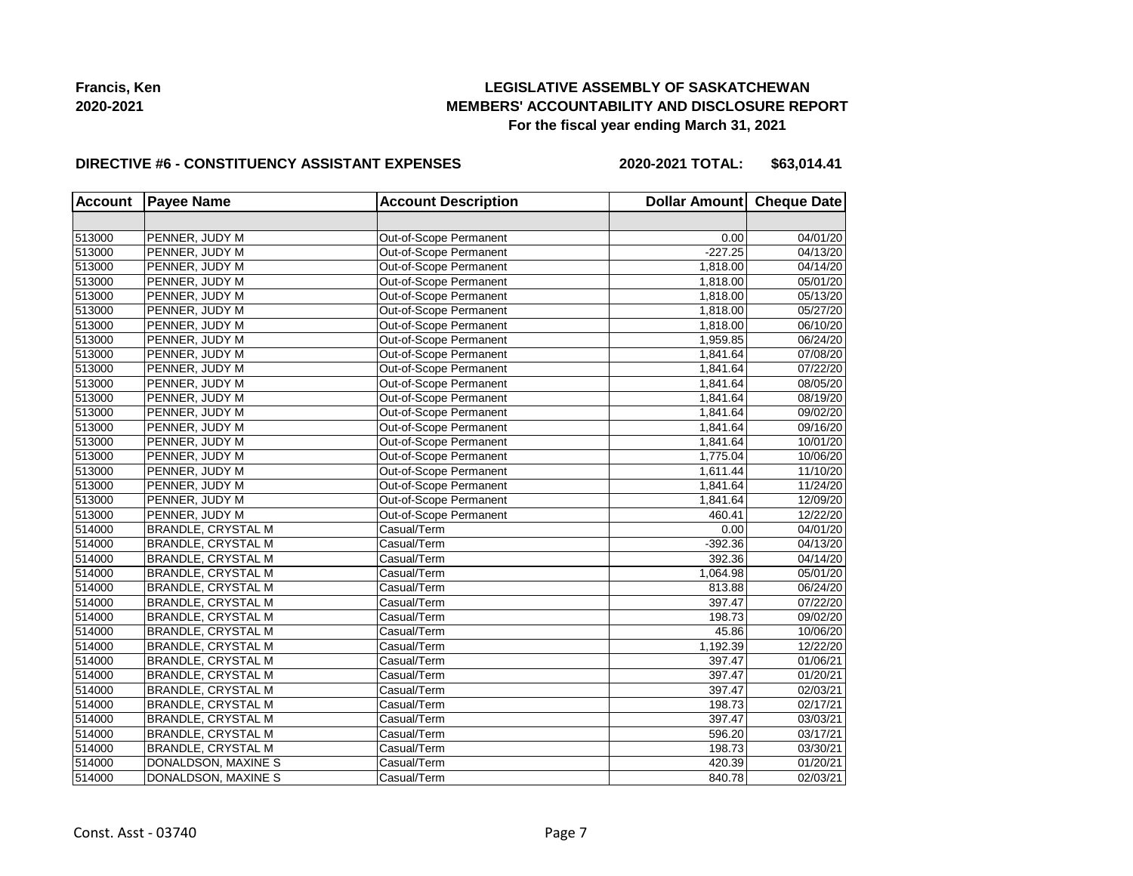## **LEGISLATIVE ASSEMBLY OF SASKATCHEWAN MEMBERS' ACCOUNTABILITY AND DISCLOSURE REPORT For the fiscal year ending March 31, 2021**

#### **DIRECTIVE #6 - CONSTITUENCY ASSISTANT EXPENSES**

**2020-2021 TOTAL: \$63,014.41**

| <b>Account</b> | <b>Payee Name</b>         | <b>Account Description</b> | Dollar Amount Cheque Date |          |
|----------------|---------------------------|----------------------------|---------------------------|----------|
|                |                           |                            |                           |          |
| 513000         | PENNER, JUDY M            | Out-of-Scope Permanent     | 0.00                      | 04/01/20 |
| 513000         | PENNER, JUDY M            | Out-of-Scope Permanent     | $-227.25$                 | 04/13/20 |
| 513000         | PENNER, JUDY M            | Out-of-Scope Permanent     | 1,818.00                  | 04/14/20 |
| 513000         | PENNER, JUDY M            | Out-of-Scope Permanent     | 1,818.00                  | 05/01/20 |
| 513000         | PENNER, JUDY M            | Out-of-Scope Permanent     | 1,818.00                  | 05/13/20 |
| 513000         | PENNER, JUDY M            | Out-of-Scope Permanent     | 1,818.00                  | 05/27/20 |
| 513000         | PENNER, JUDY M            | Out-of-Scope Permanent     | 1,818.00                  | 06/10/20 |
| 513000         | PENNER, JUDY M            | Out-of-Scope Permanent     | 1,959.85                  | 06/24/20 |
| 513000         | PENNER, JUDY M            | Out-of-Scope Permanent     | 1,841.64                  | 07/08/20 |
| 513000         | PENNER, JUDY M            | Out-of-Scope Permanent     | 1,841.64                  | 07/22/20 |
| 513000         | PENNER, JUDY M            | Out-of-Scope Permanent     | 1,841.64                  | 08/05/20 |
| 513000         | PENNER, JUDY M            | Out-of-Scope Permanent     | 1,841.64                  | 08/19/20 |
| 513000         | PENNER, JUDY M            | Out-of-Scope Permanent     | 1,841.64                  | 09/02/20 |
| 513000         | PENNER, JUDY M            | Out-of-Scope Permanent     | 1,841.64                  | 09/16/20 |
| 513000         | PENNER, JUDY M            | Out-of-Scope Permanent     | 1,841.64                  | 10/01/20 |
| 513000         | PENNER, JUDY M            | Out-of-Scope Permanent     | 1,775.04                  | 10/06/20 |
| 513000         | PENNER, JUDY M            | Out-of-Scope Permanent     | 1,611.44                  | 11/10/20 |
| 513000         | PENNER, JUDY M            | Out-of-Scope Permanent     | 1,841.64                  | 11/24/20 |
| 513000         | PENNER, JUDY M            | Out-of-Scope Permanent     | 1,841.64                  | 12/09/20 |
| 513000         | PENNER, JUDY M            | Out-of-Scope Permanent     | 460.41                    | 12/22/20 |
| 514000         | <b>BRANDLE, CRYSTAL M</b> | Casual/Term                | 0.00                      | 04/01/20 |
| 514000         | <b>BRANDLE, CRYSTAL M</b> | Casual/Term                | $-392.36$                 | 04/13/20 |
| 514000         | <b>BRANDLE, CRYSTAL M</b> | Casual/Term                | 392.36                    | 04/14/20 |
| 514000         | <b>BRANDLE, CRYSTAL M</b> | Casual/Term                | 1,064.98                  | 05/01/20 |
| 514000         | <b>BRANDLE, CRYSTAL M</b> | Casual/Term                | 813.88                    | 06/24/20 |
| 514000         | BRANDLE, CRYSTAL M        | Casual/Term                | 397.47                    | 07/22/20 |
| 514000         | <b>BRANDLE, CRYSTAL M</b> | Casual/Term                | 198.73                    | 09/02/20 |
| 514000         | BRANDLE, CRYSTAL M        | Casual/Term                | 45.86                     | 10/06/20 |
| 514000         | <b>BRANDLE, CRYSTAL M</b> | Casual/Term                | 1,192.39                  | 12/22/20 |
| 514000         | BRANDLE, CRYSTAL M        | Casual/Term                | 397.47                    | 01/06/21 |
| 514000         | BRANDLE, CRYSTAL M        | Casual/Term                | 397.47                    | 01/20/21 |
| 514000         | <b>BRANDLE, CRYSTAL M</b> | Casual/Term                | 397.47                    | 02/03/21 |
| 514000         | <b>BRANDLE, CRYSTAL M</b> | Casual/Term                | 198.73                    | 02/17/21 |
| 514000         | <b>BRANDLE, CRYSTAL M</b> | Casual/Term                | 397.47                    | 03/03/21 |
| 514000         | <b>BRANDLE, CRYSTAL M</b> | Casual/Term                | 596.20                    | 03/17/21 |
| 514000         | BRANDLE, CRYSTAL M        | Casual/Term                | 198.73                    | 03/30/21 |
| 514000         | DONALDSON, MAXINE S       | Casual/Term                | 420.39                    | 01/20/21 |
| 514000         | DONALDSON, MAXINE S       | Casual/Term                | 840.78                    | 02/03/21 |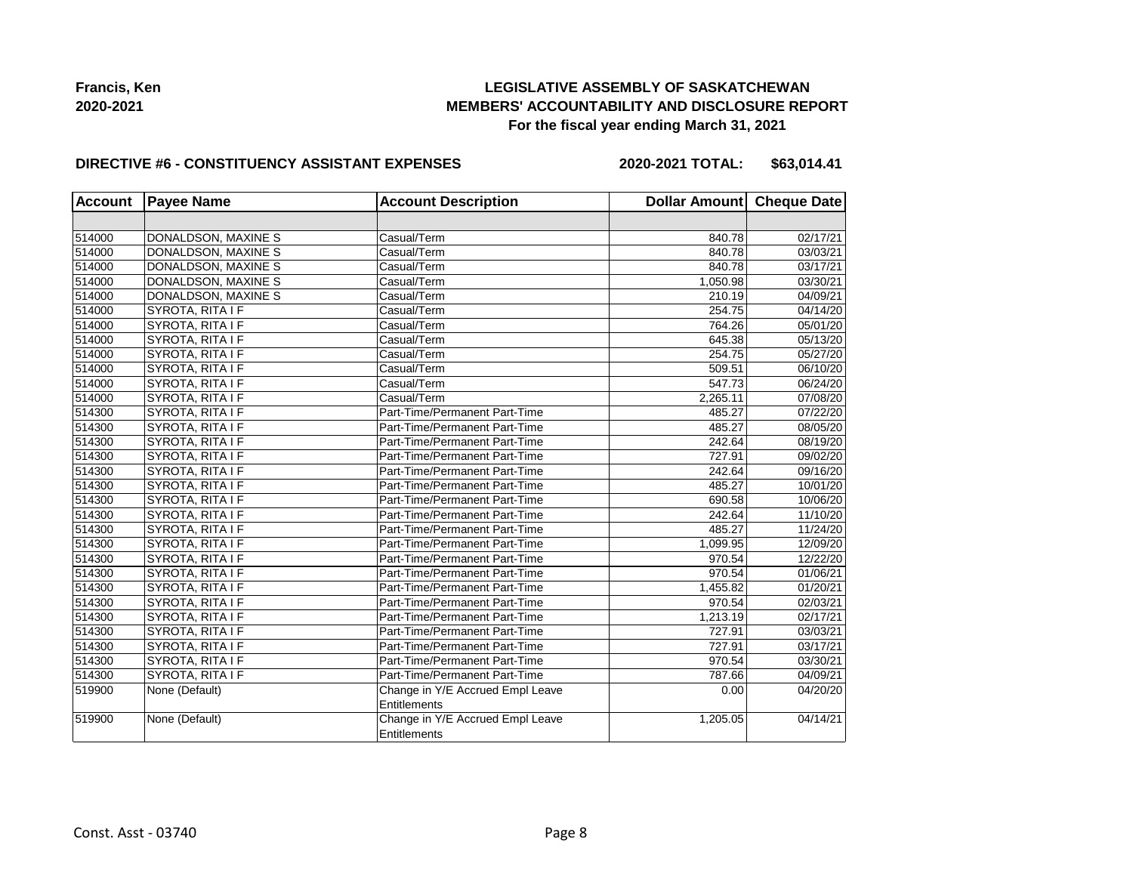## **LEGISLATIVE ASSEMBLY OF SASKATCHEWAN MEMBERS' ACCOUNTABILITY AND DISCLOSURE REPORT For the fiscal year ending March 31, 2021**

#### **DIRECTIVE #6 - CONSTITUENCY ASSISTANT EXPENSES**

**2020-2021 TOTAL: \$63,014.41**

| <b>Account</b> | <b>Payee Name</b>   | <b>Account Description</b>       | Dollar Amount Cheque Date |          |
|----------------|---------------------|----------------------------------|---------------------------|----------|
|                |                     |                                  |                           |          |
| 514000         | DONALDSON, MAXINE S | Casual/Term                      | 840.78                    | 02/17/21 |
| 514000         | DONALDSON, MAXINE S | Casual/Term                      | 840.78                    | 03/03/21 |
| 514000         | DONALDSON, MAXINE S | Casual/Term                      | 840.78                    | 03/17/21 |
| 514000         | DONALDSON, MAXINE S | Casual/Term                      | 1,050.98                  | 03/30/21 |
| 514000         | DONALDSON, MAXINE S | Casual/Term                      | 210.19                    | 04/09/21 |
| 514000         | SYROTA, RITA I F    | Casual/Term                      | 254.75                    | 04/14/20 |
| 514000         | SYROTA, RITA I F    | Casual/Term                      | 764.26                    | 05/01/20 |
| 514000         | SYROTA, RITA I F    | Casual/Term                      | 645.38                    | 05/13/20 |
| 514000         | SYROTA, RITA I F    | Casual/Term                      | 254.75                    | 05/27/20 |
| 514000         | SYROTA, RITA I F    | Casual/Term                      | 509.51                    | 06/10/20 |
| 514000         | SYROTA, RITA I F    | Casual/Term                      | 547.73                    | 06/24/20 |
| 514000         | SYROTA, RITA I F    | Casual/Term                      | 2,265.11                  | 07/08/20 |
| 514300         | SYROTA, RITA I F    | Part-Time/Permanent Part-Time    | 485.27                    | 07/22/20 |
| 514300         | SYROTA, RITA I F    | Part-Time/Permanent Part-Time    | 485.27                    | 08/05/20 |
| 514300         | SYROTA, RITA I F    | Part-Time/Permanent Part-Time    | 242.64                    | 08/19/20 |
| 514300         | SYROTA, RITA I F    | Part-Time/Permanent Part-Time    | 727.91                    | 09/02/20 |
| 514300         | SYROTA, RITA I F    | Part-Time/Permanent Part-Time    | 242.64                    | 09/16/20 |
| 514300         | SYROTA, RITA I F    | Part-Time/Permanent Part-Time    | 485.27                    | 10/01/20 |
| 514300         | SYROTA, RITA I F    | Part-Time/Permanent Part-Time    | 690.58                    | 10/06/20 |
| 514300         | SYROTA, RITA I F    | Part-Time/Permanent Part-Time    | 242.64                    | 11/10/20 |
| 514300         | SYROTA, RITA I F    | Part-Time/Permanent Part-Time    | 485.27                    | 11/24/20 |
| 514300         | SYROTA, RITA I F    | Part-Time/Permanent Part-Time    | 1,099.95                  | 12/09/20 |
| 514300         | SYROTA, RITA I F    | Part-Time/Permanent Part-Time    | 970.54                    | 12/22/20 |
| 514300         | SYROTA, RITA I F    | Part-Time/Permanent Part-Time    | 970.54                    | 01/06/21 |
| 514300         | SYROTA, RITA I F    | Part-Time/Permanent Part-Time    | 1,455.82                  | 01/20/21 |
| 514300         | SYROTA, RITA I F    | Part-Time/Permanent Part-Time    | 970.54                    | 02/03/21 |
| 514300         | SYROTA, RITA I F    | Part-Time/Permanent Part-Time    | 1,213.19                  | 02/17/21 |
| 514300         | SYROTA, RITA I F    | Part-Time/Permanent Part-Time    | 727.91                    | 03/03/21 |
| 514300         | SYROTA, RITA I F    | Part-Time/Permanent Part-Time    | 727.91                    | 03/17/21 |
| 514300         | SYROTA, RITA I F    | Part-Time/Permanent Part-Time    | 970.54                    | 03/30/21 |
| 514300         | SYROTA, RITA I F    | Part-Time/Permanent Part-Time    | 787.66                    | 04/09/21 |
| 519900         | None (Default)      | Change in Y/E Accrued Empl Leave | 0.00                      | 04/20/20 |
|                |                     | Entitlements                     |                           |          |
| 519900         | None (Default)      | Change in Y/E Accrued Empl Leave | 1,205.05                  | 04/14/21 |
|                |                     | Entitlements                     |                           |          |